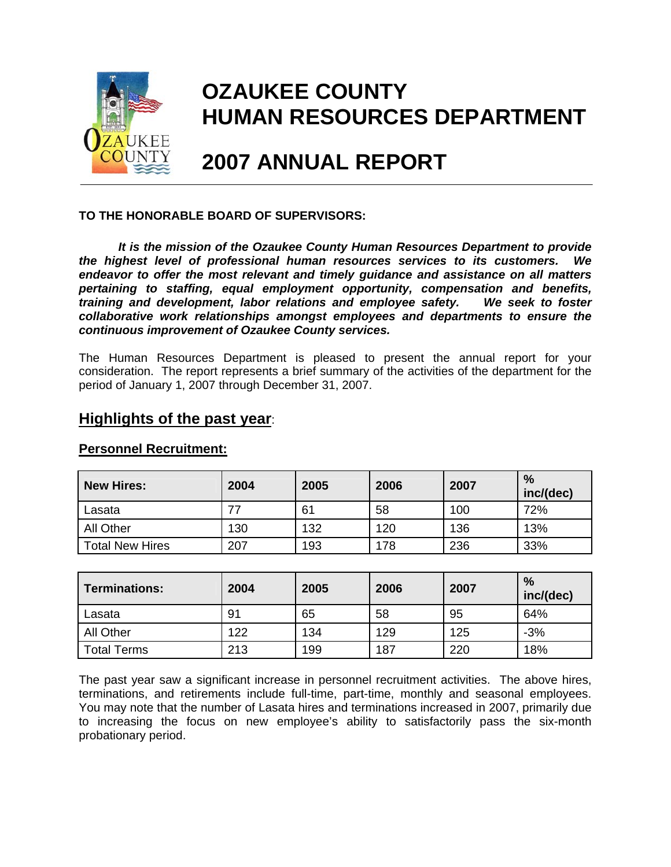

# **OZAUKEE COUNTY HUMAN RESOURCES DEPARTMENT**

# **2007 ANNUAL REPORT**

### **TO THE HONORABLE BOARD OF SUPERVISORS:**

*It is the mission of the Ozaukee County Human Resources Department to provide the highest level of professional human resources services to its customers. We endeavor to offer the most relevant and timely guidance and assistance on all matters pertaining to staffing, equal employment opportunity, compensation and benefits, training and development, labor relations and employee safety. We seek to foster collaborative work relationships amongst employees and departments to ensure the continuous improvement of Ozaukee County services.* 

The Human Resources Department is pleased to present the annual report for your consideration. The report represents a brief summary of the activities of the department for the period of January 1, 2007 through December 31, 2007.

## **Highlights of the past year**:

| <b>New Hires:</b>      | 2004 | 2005 | 2006 | 2007 | %<br>inc/(dec) |
|------------------------|------|------|------|------|----------------|
| Lasata                 |      | 61   | 58   | 100  | 72%            |
| <b>All Other</b>       | 130  | 132  | 120  | 136  | 13%            |
| <b>Total New Hires</b> | 207  | 193  | 178  | 236  | 33%            |

### **Personnel Recruitment:**

| <b>Terminations:</b> | 2004 | 2005 | 2006 | 2007 | %<br>inc/(dec) |
|----------------------|------|------|------|------|----------------|
| Lasata               | 91   | 65   | 58   | 95   | 64%            |
| <b>All Other</b>     | 122  | 134  | 129  | 125  | $-3%$          |
| <b>Total Terms</b>   | 213  | 199  | 187  | 220  | 18%            |

The past year saw a significant increase in personnel recruitment activities. The above hires, terminations, and retirements include full-time, part-time, monthly and seasonal employees. You may note that the number of Lasata hires and terminations increased in 2007, primarily due to increasing the focus on new employee's ability to satisfactorily pass the six-month probationary period.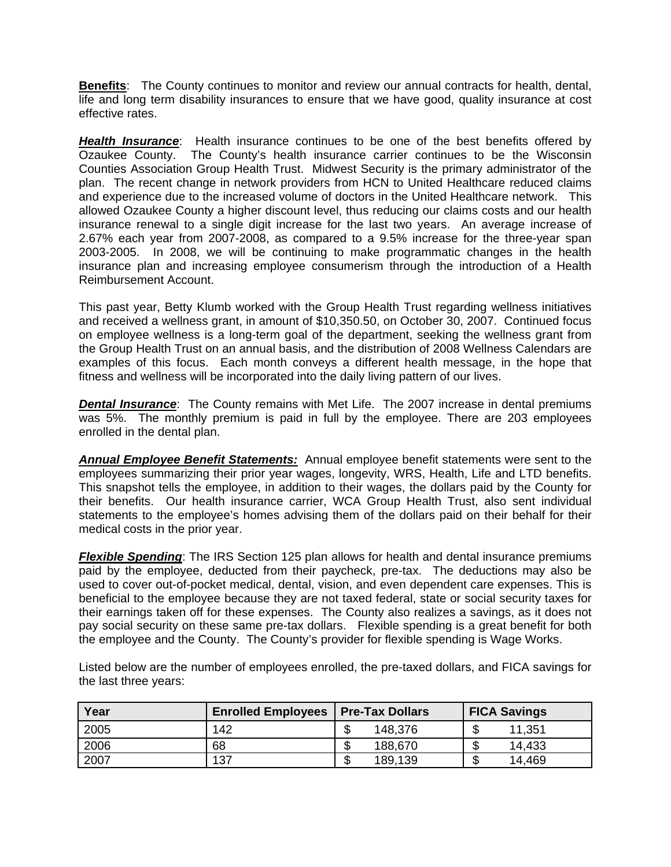**Benefits**: The County continues to monitor and review our annual contracts for health, dental, life and long term disability insurances to ensure that we have good, quality insurance at cost effective rates.

*Health Insurance*: Health insurance continues to be one of the best benefits offered by Ozaukee County. The County's health insurance carrier continues to be the Wisconsin Counties Association Group Health Trust. Midwest Security is the primary administrator of the plan. The recent change in network providers from HCN to United Healthcare reduced claims and experience due to the increased volume of doctors in the United Healthcare network. This allowed Ozaukee County a higher discount level, thus reducing our claims costs and our health insurance renewal to a single digit increase for the last two years. An average increase of 2.67% each year from 2007-2008, as compared to a 9.5% increase for the three-year span 2003-2005. In 2008, we will be continuing to make programmatic changes in the health insurance plan and increasing employee consumerism through the introduction of a Health Reimbursement Account.

This past year, Betty Klumb worked with the Group Health Trust regarding wellness initiatives and received a wellness grant, in amount of \$10,350.50, on October 30, 2007. Continued focus on employee wellness is a long-term goal of the department, seeking the wellness grant from the Group Health Trust on an annual basis, and the distribution of 2008 Wellness Calendars are examples of this focus. Each month conveys a different health message, in the hope that fitness and wellness will be incorporated into the daily living pattern of our lives.

**Dental Insurance**: The County remains with Met Life. The 2007 increase in dental premiums was 5%. The monthly premium is paid in full by the employee. There are 203 employees enrolled in the dental plan.

*Annual Employee Benefit Statements:* Annual employee benefit statements were sent to the employees summarizing their prior year wages, longevity, WRS, Health, Life and LTD benefits. This snapshot tells the employee, in addition to their wages, the dollars paid by the County for their benefits. Our health insurance carrier, WCA Group Health Trust, also sent individual statements to the employee's homes advising them of the dollars paid on their behalf for their medical costs in the prior year.

*Flexible Spending*: The IRS Section 125 plan allows for health and dental insurance premiums paid by the employee, deducted from their paycheck, pre-tax. The deductions may also be used to cover out-of-pocket medical, dental, vision, and even dependent care expenses. This is beneficial to the employee because they are not taxed federal, state or social security taxes for their earnings taken off for these expenses. The County also realizes a savings, as it does not pay social security on these same pre-tax dollars. Flexible spending is a great benefit for both the employee and the County. The County's provider for flexible spending is Wage Works.

Listed below are the number of employees enrolled, the pre-taxed dollars, and FICA savings for the last three years:

| Year | <b>Enrolled Employees</b> | <b>Pre-Tax Dollars</b> | <b>FICA Savings</b> |
|------|---------------------------|------------------------|---------------------|
| 2005 | 142                       | 148,376                | 11,351              |
| 2006 | 68                        | 188,670                | 14,433              |
| 2007 | 137                       | 189,139                | 14,469<br>۰D        |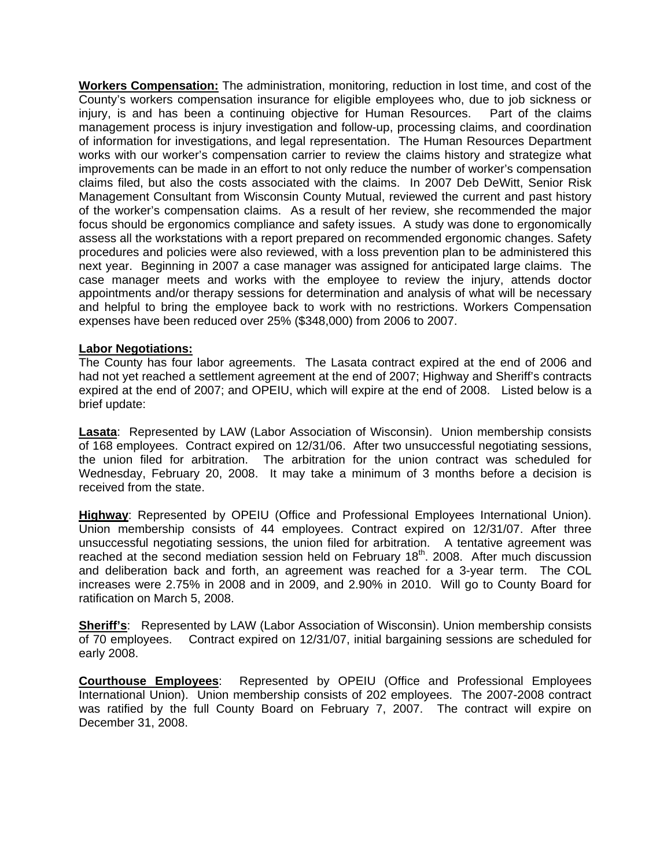**Workers Compensation:** The administration, monitoring, reduction in lost time, and cost of the County's workers compensation insurance for eligible employees who, due to job sickness or injury, is and has been a continuing objective for Human Resources. Part of the claims management process is injury investigation and follow-up, processing claims, and coordination of information for investigations, and legal representation. The Human Resources Department works with our worker's compensation carrier to review the claims history and strategize what improvements can be made in an effort to not only reduce the number of worker's compensation claims filed, but also the costs associated with the claims. In 2007 Deb DeWitt, Senior Risk Management Consultant from Wisconsin County Mutual, reviewed the current and past history of the worker's compensation claims. As a result of her review, she recommended the major focus should be ergonomics compliance and safety issues. A study was done to ergonomically assess all the workstations with a report prepared on recommended ergonomic changes. Safety procedures and policies were also reviewed, with a loss prevention plan to be administered this next year. Beginning in 2007 a case manager was assigned for anticipated large claims. The case manager meets and works with the employee to review the injury, attends doctor appointments and/or therapy sessions for determination and analysis of what will be necessary and helpful to bring the employee back to work with no restrictions. Workers Compensation expenses have been reduced over 25% (\$348,000) from 2006 to 2007.

#### **Labor Negotiations:**

The County has four labor agreements. The Lasata contract expired at the end of 2006 and had not yet reached a settlement agreement at the end of 2007; Highway and Sheriff's contracts expired at the end of 2007; and OPEIU, which will expire at the end of 2008. Listed below is a brief update:

**Lasata**: Represented by LAW (Labor Association of Wisconsin). Union membership consists of 168 employees. Contract expired on 12/31/06. After two unsuccessful negotiating sessions, the union filed for arbitration. The arbitration for the union contract was scheduled for Wednesday, February 20, 2008. It may take a minimum of 3 months before a decision is received from the state.

**Highway**: Represented by OPEIU (Office and Professional Employees International Union). Union membership consists of 44 employees. Contract expired on 12/31/07. After three unsuccessful negotiating sessions, the union filed for arbitration. A tentative agreement was reached at the second mediation session held on February 18<sup>th</sup>. 2008. After much discussion and deliberation back and forth, an agreement was reached for a 3-year term. The COL increases were 2.75% in 2008 and in 2009, and 2.90% in 2010. Will go to County Board for ratification on March 5, 2008.

**Sheriff's**: Represented by LAW (Labor Association of Wisconsin). Union membership consists of 70 employees. Contract expired on 12/31/07, initial bargaining sessions are scheduled for early 2008.

**Courthouse Employees**: Represented by OPEIU (Office and Professional Employees International Union). Union membership consists of 202 employees. The 2007-2008 contract was ratified by the full County Board on February 7, 2007. The contract will expire on December 31, 2008.